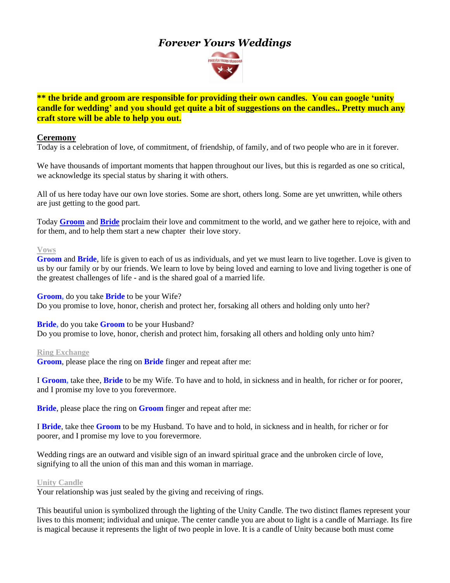# *Forever Yours Weddings*



**\*\* the bride and groom are responsible for providing their own candles. You can google 'unity candle for wedding' and you should get quite a bit of suggestions on the candles.. Pretty much any craft store will be able to help you out.**

### **Ceremony**

Today is a celebration of love, of commitment, of friendship, of family, and of two people who are in it forever.

We have thousands of important moments that happen throughout our lives, but this is regarded as one so critical, we acknowledge its special status by sharing it with others.

All of us here today have our own love stories. Some are short, others long. Some are yet unwritten, while others are just getting to the good part.

Today **Groom** and **Bride** proclaim their love and commitment to the world, and we gather here to rejoice, with and for them, and to help them start a new chapter their love story.

#### **Vows**

**Groom** and **Bride**, life is given to each of us as individuals, and yet we must learn to live together. Love is given to us by our family or by our friends. We learn to love by being loved and earning to love and living together is one of the greatest challenges of life - and is the shared goal of a married life.

**Groom,** do you take **Bride** to be your Wife? Do you promise to love, honor, cherish and protect her, forsaking all others and holding only unto her?

**Bride,** do you take **Groom** to be your Husband? Do you promise to love, honor*,* cherish and protect him, forsaking all others and holding only unto him?

#### **Ring Exchange**

**Groom**, please place the ring on **Bride** finger and repeat after me:

I **Groom,** take thee, **Bride** to be my Wife. To have and to hold, in sickness and in health, for richer or for poorer, and I promise my love to you forevermore.

**Bride**, please place the ring on **Groom** finger and repeat after me:

I **Bride**, take thee **Groom** to be my Husband. To have and to hold, in sickness and in health, for richer or for poorer, and I promise my love to you forevermore.

Wedding rings are an outward and visible sign of an inward spiritual grace and the unbroken circle of love, signifying to all the union of this man and this woman in marriage.

#### **Unity Candle**

Your relationship was just sealed by the giving and receiving of rings.

This beautiful union is symbolized through the lighting of the Unity Candle. The two distinct flames represent your lives to this moment; individual and unique. The center candle you are about to light is a candle of Marriage. Its fire is magical because it represents the light of two people in love. It is a candle of Unity because both must come